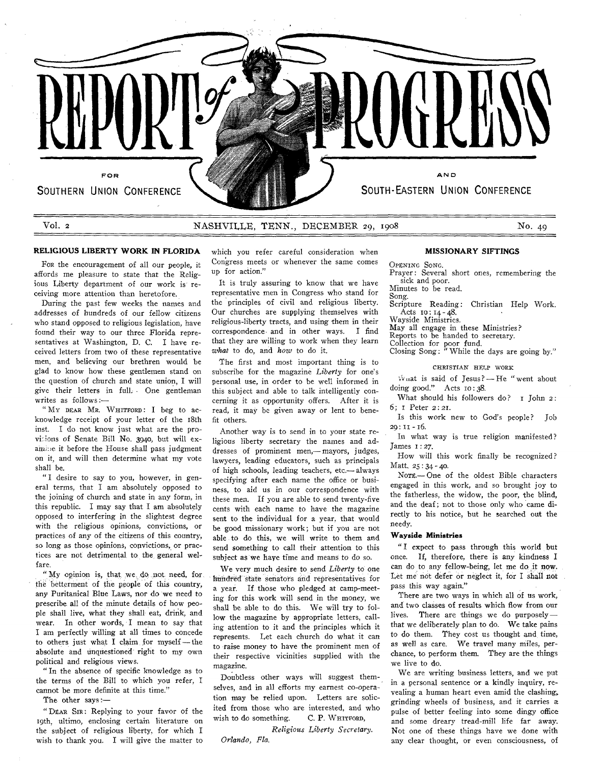

# **Vol. 2 NASHVILLE, TENN., DECEMBER 29, 1908 No. 49**

# **RELIGIOUS LIBERTY WORK IN FLORIDA**

For the encouragement of all our people, it affords me pleasure to state that the Religious Liberty department of our work is receiving more attention than heretofore.

During the past few weeks the names and addresses of hundreds of our fellow citizens who stand opposed to religious legislation, have found their way to our three Florida representatives at Washington, D. C. I have received letters from two of these representative men, and believing our brethren would be glad to know how these gentlemen stand on the question of church and state union, I will give their letters in full. One gentleman writes as follows :-

" My DEAR MR. WHITFORD: I beg to acknowledge receipt of your letter of the 18th inst. I do not know just what are the provicions of Senate Bill No. 3940, but will examine it before the House shall pass judgment on it, and will then determine what my vote shall be.

" I desire to say to you, however, in general terms, that I am absolutely opposed to the joining of church and state in any form, in this republic. I may say that I am absolutely opposed to interfering in the slightest degree with the religious opinions, convictions, or practices of any of the citizens of this country, so long as those opinions, convictions, or practices are not detrimental to. the, general welfare.

" My opinion is, that we do not need, for, the betterment of the people of this country, any Puritanical Blue Laws, nor do we need to prescribe all of the minute details of how people shall live, what they shall eat, drink, and wear. In other words, I mean to say that I am perfectly willing at all times to concede to others just what I claim for myself - the absolute and unquestioned right to my own political and religious views.

" In the absence of specific knowledge as to the terms of the Bill to which you refer, I cannot be more definite at this time."

The other says :-

" DEAR SIR: Replying to your favor of the 19th, ultimo, enclosing certain literature on the subject of religious liberty, for which I wish to thank you. I will give the matter to which you refer careful consideration when Congress meets or whenever the same comes up for action."

It is truly assuring to know that we have representative men in Congress who stand for the principles of civil and religious liberty. Our churches are supplying themselves with religious-liberty tracts, and using them in their correspondence- and in other ways. I find that they are willing to work when they learn *what* to do, and *how* to do it.

The first and most important thing is to subscribe for the magazine *Liberty* for one's personal use, in order to be well informed in this subject and able to talk intelligently concerning it as opportunity offers. After it is read, it may be given away or lent to benefit others.

Another way is to send in to your state religious liberty secretary the names and addresses of prominent men,— mayors, judges, lawyers, leading educators, such as principals of high schools, leading teachers, etc.-- always specifying after each name the office or business, to aid us in our correspondence with these men. If you are able to send twenty-five cents with each name to have the magazine sent to the individual for a year, that would be good missionary work; but if you are not able to do this, we will write to them and send something to call their attention to this subject as we haye time and means to do so.

We very much desire to send *Liberty* to one hundred state senators and representatives for a year. If those who pledged at camp-meeting for this work will send in the money, we shall be able to do this. We will try to follow the magazine by appropriate letters, calling attention to it and the principles which it represents. Let each church do what it can to raise money to have the prominent men of their respective vicinities supplied with the magazine.

Doubtless other ways will suggest themselves, and in all efforts my earnest co-operation may be relied upon. Letters are solicited from those who are interested, and who wish to do something.  $C. P. WHITFORM$ ,

*Religious Liberty Secretary. Orlando, Fla.*

## **MISSIONARY SIFTINGS**

OPENING SONG. Prayer: Several short ones, remembering the sick and poor. Minutes to be read.

Song.

Scripture Reading: Christian Help Work. Acts  $10:14 - 48$ .

Wavside Ministries.

May all engage in these Ministries?

Reports to be handed to secretary.

Collection for poor fund.

Closing Song: " While the days are going by."

#### CHRISTIAN HELP WORK

Wnat is said of Jesus?  $-$  He "went about doing good." Acts 10:38.

What should his followers do? 1 John 2: 6; 1 Peter 2:21.

Is this work new to God's people? Job 29: 11 -16.

In what way is true religion manifested? James 1:27.

How will this work finally be recognized? Matt, 25:34 - 40.

NOTE .- One of the oldest Bible characters engaged in this work, and so brought joy to the fatherless, the widow, the poor, the blind, and the deaf; not to those only who came directly to his notice, but he searched out the needy.

#### **Wayside Ministries**

" I expect to pass through this world but once. If, therefore, there is any kindness I can do to any fellow-being, let me do it now. Let me not defer or neglect it, for I shall not pass this way again."

There are two ways in which all of us work, and two classes of results which flow from our lives. There are things we do purposely that we deliberately plan to do. We take pains to do them. They cost us thought and time, as well as care. We travel many miles, perchance, to perform them. They are the things we live to do.

We are writing business letters, and we put in a personal sentence or a kindly inquiry, revealing a human heart even amid the clashing, grinding wheels of business, and it carries a pulse of better feeling into some dingy office and some dreary tread-mill life far away. Not one of these things have we done with any dear thought, or even consciousness, of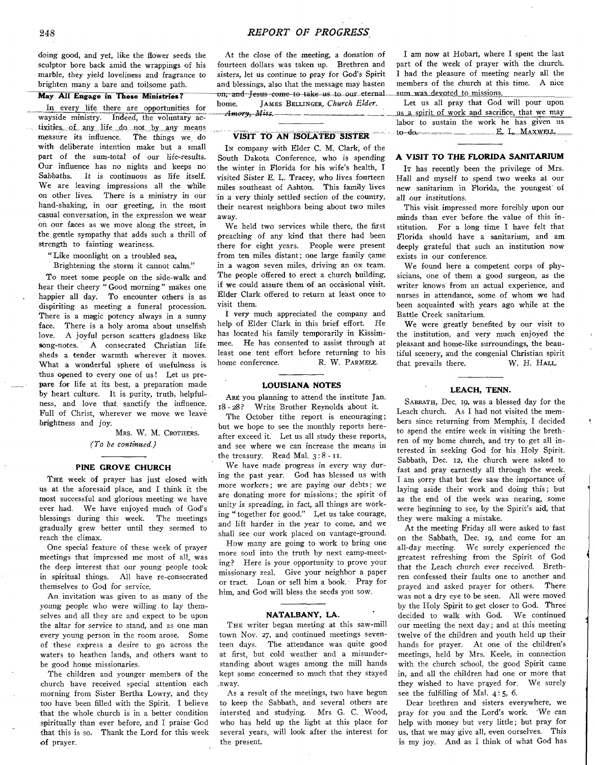# **248** *REPORT OF PROGRESS*

doing good, and yet, like the flower seeds the sculptor bore back amid the wrappings of his marble, they yield loveliness and fragrance to brighten many a bare and toilsome path.

## May All Engage in These Ministries?

In every life there are opportunities for wayside ministry. Indeed, the voluntary activities of any life do not by any means measure its influence. The things we do with deliberate intention make but a small part of the sum-total of our life-results. Our influence has no nights and keeps no Sabbaths. It is continuous as life itself. We are leaving impressions all the while on other lives. There is a ministry in our hand-shaking, in our greeting, in the most casual conversation, in the expression we wear on our faces as we move along the street, in the gentle sympathy that adds such a thrill of strength to fainting weariness.

" Like moonlight on a troubled sea,

Brightening the storm it cannot calm." To meet some people on the side-walk and hear their cheery " Good morning " makes one happier all day. To encounter others is as dispiriting as meeting a funeral procession. There is a magic potency always in a sunny face. There is a holy aroma about unselfish love. A joyful person scatters gladness like song-notes. A consecrated Christian life sheds a tender warmth wherever it moves. What a wonderful sphere of usefulness is thus opened to every one of us! Let us prepare for life at its best, a preparation made by heart culture. It is purity, truth, helpfulness, and love that, sanctify the influence. Full of Christ, wherever we move we leave brightness and joy.

> MRS. W. M. CROTHERS. *(T o be continued.')*

## PINE GROVE CHURCH

THE week of prayer has just closed with us at the aforesaid place, and I think it the most successful and glorious meeting we have ever had. We have enjoyed much of God's blessings during this week. The meetings gradually grew better until they seemed to reach the climax.

One special feature of these week of prayer meetings that impressed me most of all, was the deep interest that our young people took in spiritual things. All have re-consecrated themselves to God for service.

An invitation was given to as many of the young people who were willing to lay themselves and all they are and expect to be upon the altar for service to stand, and as one man every young person in the room arose. Some of these express a desire to go across the waters to heathen lands, and others want to be good home missionaries.

The children and younger members of the church have received special attention each morning from Sister Bertha Lowry, and they too have been filled with the Spirit. I believe that the whole church is in a better condition •spiritually than ever before, and I praise'G od that this is so. Thank the Lord for this week of prayer.

At the close of the meeting, a donation of fourteen dollars was taken up. Brethren and sisters, let us continue to pray for God's Spirit and blessings, also that the message may hasten on, and Jesus come to take us to our eternal home. JAMES BELLINGER, Church Elder. *■■ Amoffj Miss.* --------- — ---------------— — — \_ \_

# VISIT TO AN ISOLATED SISTER

In company with Elder C. M. Clark, of the South Dakota Conference, who is spending the winter in Florida for his wife's health, I visited Sister E. L. Tracey, who lives fourteen miles southeast of Ashton. This family lives in a very thinly settled section of the country, their nearest neighbors being about two miles away.

We held two services while there, the first preaching of any kind that there had been there for eight years. People were present from ten miles distant; one large family came in a wagon seven miles, driving an ox team. The people offered to erect a church building, if we could assure them of an occasional visit. Elder Clark offered to return at least once to visit them.

I very much appreciated the company and help of Elder Clark in this brief effort. He has located his family temporarily in Kissim mee. He has consented to assist through at least one tent effort before returning to his home conference. R. W. PARMELE.

#### LOUISIANA NOTES

ARE you planning to attend the institute Jan. 18-28? W rite Brother Reynolds about it.

The October tithe report is encouraging; but we hope to see the monthly reports hereafter exceed it. Let us all study these reports, and see where we can increase the means in the treasury. Read Mal.  $3:8 - 11$ .

We have made progress in every way during the past year. God has blessed us with more workers; we are paying our debts; we are donating more for missions; the spirit of unity is spreading, in fact, all things are working " together for good." Let us take courage, and lift harder in the year to come, and we shall see our work placed on vantage-ground.

How many are going to work to bring one more soul into the truth by next camp-meeting? Here is your opportunity to prove your missionary zeal. Give your neighbor a paper or tract. Loan or sell him a book. Pray for him, and God will bless the seeds you sow.

#### NATALBANY, LA.

THE writer began meeting at this saw-mill town Nov. 27, and continued meetings seventeen days. The attendance was quite good at first, but cold weather and a misunderstanding about wages among the mill hands kept some concerned so much that they stayed .away.

As a result of the meetings, two have begun to keep the Sabbath, and several others are intersted and studying. Mrs G. C. Wood, who has held up the light at this place for several years, will look after the interest for the present.

I am now at Hobart, where I spent the last part of the week of prayer with the church. I had the pleasure of meeting nearly all the members of the church at this time. A nice sum was devoted to missions.

Let us all pray that God will pour upon us a spirit of work and sacrifice, that we may labor to sustain the work he has given us  $t_0$  =  $d_0$  =  $\qquad E$ ,  $I_t$ ,  $MAXWELL_t$ 

#### A VISIT TO THE FLORIDA SANITARIUM

It has recently been the privilege of Mrs. Hall and myself to spend two weeks at our new sanitarium in Florida, the youngest of all our institutions.

This visit impressed more forcibly upon our minds than ever before the value of this institution. For a long time I have felt that Florida should have a sanitarium, and am deeply grateful that such an institution now exists in our conference.

We found here a competent corps of physicians, one of them a good surgeon, as the writer knows from an actual experience, and nurses in attendance, some of whom we had been acquainted with years ago while at the Battle Creek sanitarium.

We were greatly benefited by our visit to the institution, and very much enjoyed the pleasant and home-like surroundings, the beautiful scenery, and the congenial Christian spirit that prevails there. W. H. HALL.

## LEACH, TENN.

SABBATH, Dec. 19, was a blessed day for the Leach church. As I had not visited the members since returning from Memphis, I decided to spend the entire week in visiting the brethren of my home church, and try to get all interested in seeking God for his Holy Spirit. Sabbath, Dec. 12, the church were asked to fast and pray earnestly all through the week. I am sorry that but few saw the importance of laying aside their work and doing this; but as the end of the week was hearing, some were beginning to see, by the Spirit's aid, that they were making a mistake.

At the meeting Friday all were asked to fast on the Sabbath, Dec. 19, and come for an all-day meeting. We surely experienced the greatest refreshing from the Spirit of God that the Leach church ever received. Brethren confessed their faults one to another and prayed and asked prayer for others. There was not a dry eye to be seen. All were moved by the Holy Spirit to get closer to God. Three decided to walk with God. We continued our meeting the next day; and at this meeting twelve of the children and youth held up their hands for prayer. At one of the children's meetings, held by Mrs. Keele, in connection with the church school, the good Spirit came in, and all the children had one or more that they wished to have prayed for. We surely see the fulfilling of Mal.  $4:5, 6$ .

Dear brethren and sisters everywhere, we pray for you and the Lord's work. We can help with money but very little; but pray for us, that we may give all, even ourselves. This is my joy. And as I think of what God has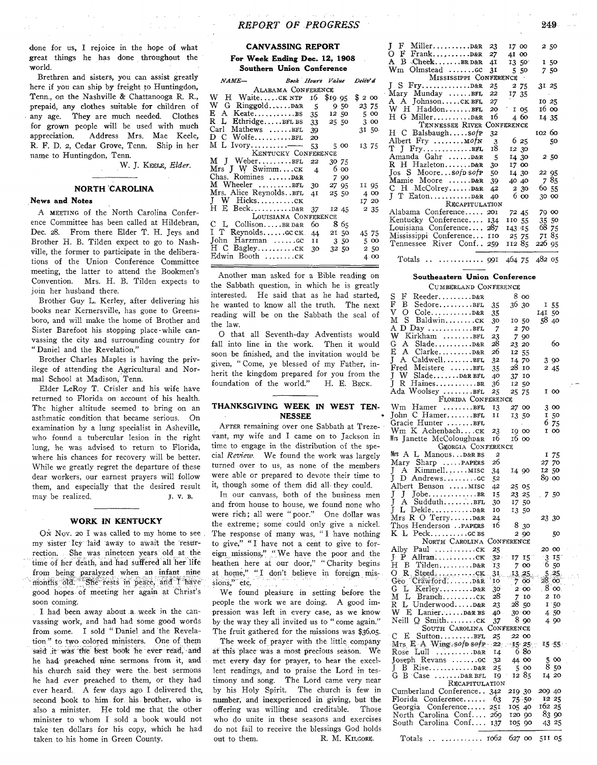done for us, I rejoice in the hope of what great things he has done throughout the world.

Brethren and sisters, you can assist greatly here if you can ship by freight to Huntingdon, Tenn., on the Nashville & Chattanooga R. R., prepaid, any clothes suitable for children of any age. They are much needed. Clothes for grown people will be used with much appreciation. Address Mrs. Mae Keele, R. F. D. 2, Cedar Grove, Tenn. Ship in her name to Huntingdon, Tenn.

W. J. KEELE, *Elder.* 

## **NORTH CAROLINA**

## **News and Notes**

A MEETING of the North Carolina Conference Committee has been called at Hildebran, Dec. 28. From there Elder T. H. Jeys and Brother H. B. Tilden expect to go to Nashville, the former to participate in the deliberations of the Union Conference Committee meeting, the latter to attend the Bookmen's Convention. Mrs. H. B. Tilden expects to join her husband there.

Brother Guy U. Kerley, after delivering his books near Kernersville, has gone to Greensboro, and will make the home of Brother and Sister Barefoot his stopping place while canvassing the city and surrounding country for " Daniel and the Revelation."

Brother Charles Maples is having the privilege of attending the Agricultural and Normal School at Madison, Tenn.

Elder LeRoy T. Crisler and his wife have returned to Florida on account of his health. The higher altitude seemed to bring on an asthmatic condition that became serious. On examination by a lung specialist in Asheville, who found a tubercular lesion in the right lung, he was advised to return to Florida, where his chances for recovery will be better. While we greatly regret the departure of these dear workers, our earnest prayers will follow them, and especially that the desired result may be realized. J. V. B.

#### **WORK IN KENTUCKY**

ON Nov. 20 I was called to my home to see my sister Icy laid away to await the resurrection. . She was nineteen years old at the time of her death, and had suffered all her life from being paralyzed when an infant nine months old. 'She rests in peace, and I have good hopes of meeting her again at Christ's soon coming.

I had been away about a week in the canvassing work, and had had some good words from some. I sold " Daniel and the Revelation" to two colored ministers. One of them said it was the best book he ever read, and he had preached nine sermons from it, and his church said they were the. best sermons he had ever preached to them, or they had ever heard., A few days ago I delivered the, second, book, to him for, his brother, who is also a minister. He told me that the other minister to whom I sold a book would not take ten dollars for his copy, which he had taken to his home in Green County.

# **CANVASSING REPORT For Week Ending Dec. 12, 1908**

**Southern Union Conference**

| <i>NAME-</i>                                                              |  | Book Hours Value Deliv'd |         |       |       |       |  |  |
|---------------------------------------------------------------------------|--|--------------------------|---------|-------|-------|-------|--|--|
| ALABAMA CONFERENCE                                                        |  |                          |         |       |       |       |  |  |
| WH WaiteCKNTP 16                                                          |  |                          | \$19.95 |       | \$200 |       |  |  |
| W G RinggoldD&R 5                                                         |  |                          |         | 9.50  | 23 75 |       |  |  |
| $E$ A Keate $BS$ 35                                                       |  |                          |         | 12,50 | 5 00  |       |  |  |
| R L Ethridge $BFL$ BS 33                                                  |  |                          |         | 25 50 | 3 00  |       |  |  |
| Carl Mathews BEL 39                                                       |  |                          |         |       |       | 31 50 |  |  |
| $\mathbf{D} \ \mathbf{C} \ \mathbf{Wolfe} \dots \dots \dots \mathbf{BFL}$ |  | 20                       |         |       |       |       |  |  |
|                                                                           |  | 53                       |         | 5 00  |       | I3 75 |  |  |
| KENTUCKY CONFERENCE                                                       |  |                          |         |       |       |       |  |  |
| M J WeberBFL                                                              |  | 22                       | 30 75   |       |       |       |  |  |
| Mrs J W Swimmck                                                           |  | $\overline{4}$           |         | 6 00  |       |       |  |  |
| Chas. Romines D&R                                                         |  |                          |         | 7 90  |       |       |  |  |
| M Wheeler BFL 30                                                          |  |                          |         | 27 95 |       | 11 95 |  |  |
| Mrs. Alice Reynolds. BFL 4I                                               |  |                          |         | 25 50 |       | 4 00  |  |  |
| J W Hicksck                                                               |  |                          |         |       |       | 17 20 |  |  |
|                                                                           |  | -37                      |         | 1245  |       | 2 35  |  |  |
| LOUISIANA CONFERENCE                                                      |  |                          |         |       |       |       |  |  |
| C L CollisonBRD&R                                                         |  | 60                       |         | 865   |       |       |  |  |
| I T Reynolds GCCK.                                                        |  | 44                       |         | 21 50 |       | 45 75 |  |  |
| John Harzman  GC II                                                       |  |                          |         | 3 50  |       | 500   |  |  |
| $H \ C$ Bagley $CK$ 30                                                    |  |                          |         | 32.50 |       | 250   |  |  |
| Edwin Booth cx                                                            |  |                          |         |       |       | 4 00  |  |  |
|                                                                           |  |                          |         |       |       |       |  |  |

Another man asked for a Bible reading on the Sabbath question, in which he is greatly interested. He said that as he had started, he wanted to know all the truth. The next reading will be on the Sabbath the seal of the law.

O that all Seventh-day Adventists would fall into line in the work. Then it would soon be finished, and the invitation would be given, " Come, ye blessed of my Father, inherit the kingdom prepared for you from the foundation of the world."  $H. E. BECK.$ 

## **THANKSGIVING WEEK IN WEST TEN-NESSEE**

AFTER remaining over one Sabbath at Trezevant, my wife and I came on to Jackson in time to engage in the distribution of the special *Review*. We found the work was largely turned over to us, as none of the members were able or prepared to. devote their time to it, though some of them did all they could.

In our canvass, both of the business men and from house to house, we found none who were rich; all were " poor." One dollar was the extreme; some could only give a nickel. The response of many was, "I have nothing to give," *"* I have not a cent to give to foreign missions," "We have the poor and the heathen here at our door," " Charity begins at home," "I don't believe in foreign missions," etc.

We found pleasure in setting before the people the work we are doing. A good impression was left in every case, as we know by the way they all invited us to " come again." The fruit gathered for the missions was \$36.05.

The week of prayer with the little company at this place was a most precious season. We met every day for prayer, to hear the excellent readings, and to praise the Lord in testimony and song. The Lord came very near by his Holy Spirit. The church is few in number, and inexperienced in giving, but the offering was willing and creditable. Those who do unite in these seasons and exercises do not fail to receive the blessings God holds out to them. R. M. KILGORE.

|                            | 23  | 17 00          |       |        | 250   |
|----------------------------|-----|----------------|-------|--------|-------|
| O F Frank,D&R 27           |     | 41 00          |       |        |       |
| A B CheekBRD&R             | 4I  |                | 13 50 |        | 150   |
| Wm Olmstead cc             | 31  |                | 5 50  |        | 750   |
| MISSISSIPPI CONFERENCE     |     |                |       |        |       |
|                            | 25  |                | 275   | 31 25  |       |
| Mary Munday BFL            | 22  |                | 17 35 |        |       |
| A A JohnsonCK BFL          | 27  |                |       | 10 25  |       |
| W H HaddonBFL              | 20  | $\degree$ I 05 |       | 16 00  |       |
|                            | 16  |                | 4 60  | 14 35  |       |
| TENNESSEE RIVER CONFERENCE |     |                |       |        |       |
| $H \, C$ Balsbaughsof $P$  | 32  |                |       | 102 60 |       |
| Albert Fry  Mofn           | 3   |                | 6 25  |        | - 50  |
| $T$ J FryBFL               | 18  |                | 12 30 |        |       |
| Amanda Gahr D&R            | - 5 |                | 14 30 |        | 2 50  |
| $R$ H Hazleton $R$ &R      | 30  |                | I7 00 |        |       |
| Jos S Mooresofp sofp       | 50  |                | 14 30 | 22 95  |       |
| Mamie Moore D&R            | 39  |                | 40 40 |        | 785   |
|                            | 42  |                | 2 30  | 60 55  |       |
|                            | 40  |                | 6 00  |        | 30 00 |
| RECAPITULATION             |     |                |       |        |       |
| Alabama Conference 201     |     |                | 72 45 |        | 79 00 |
| Kentucky Conference        | 134 | IIO 55         |       |        | 35 50 |
| Louisiana Conference 287   |     | 143 15         |       |        | 68 75 |
| Mississippi Conference 110 |     |                | 25 75 |        | 71 85 |
| Tennessee River Conf 259   |     | 112 85         |       | 226 95 |       |
|                            |     |                |       |        |       |
|                            |     |                |       |        |       |

# Totals  $\ldots$   $\ldots$   $\ldots$   $\ldots$  991 464 75 482 05

# **Southeastern Union Conference**

CUMBERLAND CONFERENCE

| F<br>ReederD&R                                    |        | 8 00                           |                   |
|---------------------------------------------------|--------|--------------------------------|-------------------|
| $_{\rm F}^{\rm S}$<br>B<br>SedoreBFL              | 35     | 36 30                          | 155               |
| V                                                 | 35     |                                | I4I 50            |
| M S BaldwinCK                                     | 30     | 10<br>50                       | 5840              |
| $A$ D Day                                         |        |                                |                   |
|                                                   | 7      | 2<br>70                        |                   |
| W Kirkham<br>$\ldots \ldots$ . BFL                | 23     | 7 90                           |                   |
| G<br>A SladeD&R                                   | 28     | 23 20                          | 60                |
| E<br>A<br>ClarkeD&R                               | 26     | 12 55                          |                   |
| $\mathbf{I}$<br>CaldwellBFL<br>A.                 | 32     | 14 70                          | 3 90              |
| $_{\rm J~W}^{\rm Fred}$<br>Meistere BFL           | 35     | 28<br>10                       | 2 45              |
| SladeD&R BFL                                      | 40     | 37<br>10                       |                   |
| Ĵ.<br>R HainesBR                                  | 36     | 12<br>50                       |                   |
| Ada Woolsey BFL                                   | 25     | 25<br>75                       | 1 00              |
| FLORIDA CONFERENCE                                |        |                                |                   |
| Wm                                                |        | $\infty$                       |                   |
| $Hamer \dots \dots \dots$                         | 13     | 27                             | 3 00              |
| John C HamerBFL                                   | 11     | 13 50                          | 50<br>I           |
| Gracie Hunter BFL                                 |        |                                | 675               |
| Wm K AchenbachCK                                  | 23     | IQ<br>oo                       | I 00              |
| Mrs Janette McColoughD&R                          | 16     | 16 oo                          |                   |
| GEORGIA CONFERENCE                                |        |                                |                   |
| Mirs $A$ L ManousD&R BS                           | 2      |                                | 1<br>75           |
| Mary Sharp PAPERS                                 | 26     |                                | 27 70             |
| L<br>Kimmell MISC<br>$\mathbf{A}$                 | 34     | 14 90                          | 1250              |
| J<br>D Andrewscc                                  | 52     |                                | 89 00             |
| Albert Benson  MISC                               |        |                                |                   |
|                                                   | 42     | 25<br>-05                      |                   |
| J<br>$Job$ $BR$<br>J                              | 15     | 23 25                          | . 750             |
| J<br>A SudduthBFL                                 | 30     | 50<br>17                       |                   |
|                                                   | 10     | 13 50                          |                   |
| Mrs R O TerryD&R                                  | 24     |                                | 23 30             |
| Thos Henderson PAPERS                             | 16     | 8 30                           |                   |
|                                                   |        | 2 90                           | 50                |
| NORTH CAROLINA                                    |        | CONFERENCE                     |                   |
| $\ldots$ .:CK                                     | 25     |                                | 20 00             |
| Alby Paul<br>J P Alira                            | 32.    | 17<br>15°                      | 3 15              |
| Η<br>B Tilden D&R                                 |        | 700                            | 65                |
|                                                   | 13     |                                |                   |
| $\overline{O}$ , $\overline{R}$                   | $3I$ . | 13 25                          | $28^{25}$         |
| $\check{\mathrm{Geo}}$                            | ÍΟ     | 7<br>ÖŐ                        |                   |
| Kerley D&R<br>G.<br>L                             | 30     | 2 00                           | $8$ 00            |
| ML BranchCK<br>RL UnderwoodD&R<br>WE LanierD&R BS | 28     | $\overline{7}$<br>10           | 2 10              |
|                                                   | 23     | 28 50                          | 150               |
|                                                   | 40     | $30^{\circ}$ 00                | 450               |
| Neill<br>$Q$ Smith $CK$                           | 37     | 890                            | 4 9 0             |
| SOUTH CAROLINA                                    |        | CONFERENCE                     |                   |
| $\mathcal{C}$<br>SuttonBFL<br>$E_{\parallel}$     | 25     | 22 00                          |                   |
| Mrs E-A Wing-sofp sofp 22                         |        |                                |                   |
|                                                   |        | $\frac{15}{6}$ $\frac{25}{80}$ | 15-55-            |
| $\text{Rose}$ Lull $\ldots \ldots \text{Desr}$    | 14     |                                |                   |
| Joseph Revans  oc                                 | 32     | 44 00                          | 500               |
| J                                                 | 25     | 5 00                           | $8\,$ 50          |
| G B Case D&R BFL                                  | IQ     | 1285                           | 14 20             |
| RECAPITULATION                                    |        |                                |                   |
| Cumberland Conference                             |        | 342 219 30                     | 209 40            |
| Florida Conference                                | $-63$  | 75.50                          | I <sub>2</sub> 25 |
| Georgia Conference 25I                            |        | 105 40                         | 162 25            |
|                                                   |        |                                | 83.90             |
|                                                   |        |                                | 43 25             |
| South Carolina Conf 269 120 90                    |        |                                |                   |
|                                                   |        |                                |                   |
| . 1062<br>Totals                                  |        | 627 00                         | 511 05            |
|                                                   |        |                                |                   |